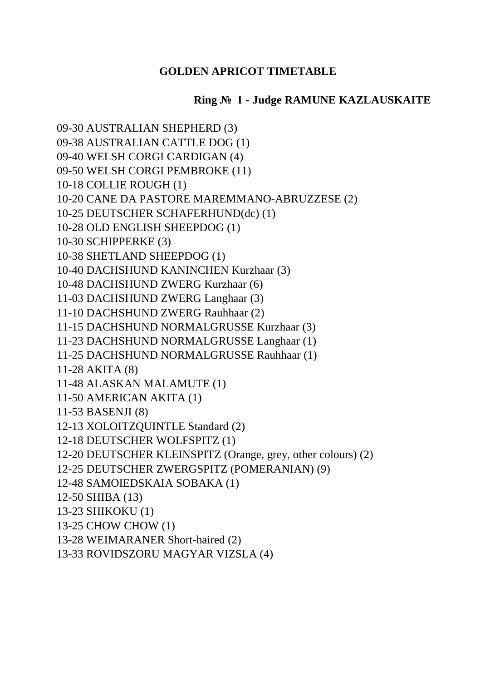## **GOLDEN APRICOT TIMETABLE**

## **Ring № 1 - Judge RAMUNE KAZLAUSKAITE**

09-30 AUSTRALIAN SHEPHERD (3) 09-38 AUSTRALIAN CATTLE DOG (1) 09-40 WELSH CORGI CARDIGAN (4) 09-50 WELSH CORGI PEMBROKE (11) 10-18 COLLIE ROUGH (1) 10-20 CANE DA PASTORE MAREMMANO-ABRUZZESE (2) 10-25 DEUTSCHER SCHAFERHUND(dc) (1) 10-28 OLD ENGLISH SHEEPDOG (1) 10-30 SCHIPPERKE (3) 10-38 SHETLAND SHEEPDOG (1) 10-40 DACHSHUND KANINCHEN Kurzhaar (3) 10-48 DACHSHUND ZWERG Kurzhaar (6) 11-03 DACHSHUND ZWERG Langhaar (3) 11-10 DACHSHUND ZWERG Rauhhaar (2) 11-15 DACHSHUND NORMALGRUSSE Kurzhaar (3) 11-23 DACHSHUND NORMALGRUSSE Langhaar (1) 11-25 DACHSHUND NORMALGRUSSE Rauhhaar (1) 11-28 AKITA (8) 11-48 ALASKAN MALAMUTE (1) 11-50 AMERICAN AKITA (1) 11-53 BASENJI (8) 12-13 XOLOITZQUINTLE Standard (2) 12-18 DEUTSCHER WOLFSPITZ (1) 12-20 DEUTSCHER KLEINSPITZ (Orange, grey, other colours) (2) 12-25 DEUTSCHER ZWERGSPITZ (POMERANIAN) (9) 12-48 SAMOIEDSKAIA SOBAKA (1) 12-50 SHIBA (13) 13-23 SHIKOKU (1) 13-25 CHOW CHOW (1) 13-28 WEIMARANER Short-haired (2) 13-33 ROVIDSZORU MAGYAR VIZSLA (4)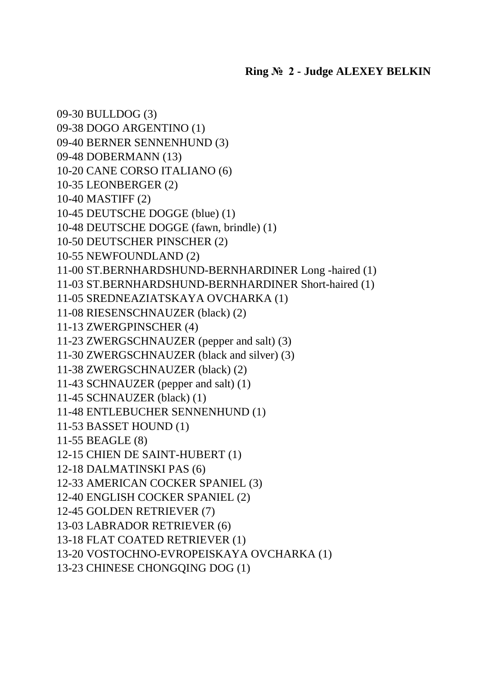09-30 BULLDOG (3) 09-38 DOGO ARGENTINO (1) 09-40 BERNER SENNENHUND (3) 09-48 DOBERMANN (13) 10-20 CANE CORSO ITALIANO (6) 10-35 LEONBERGER (2) 10-40 MASTIFF (2) 10-45 DEUTSCHE DOGGE (blue) (1) 10-48 DEUTSCHE DOGGE (fawn, brindle) (1) 10-50 DEUTSCHER PINSCHER (2) 10-55 NEWFOUNDLAND (2) 11-00 ST.BERNHARDSHUND-BERNHARDINER Long -haired (1) 11-03 ST.BERNHARDSHUND-BERNHARDINER Short-haired (1) 11-05 SREDNEAZIATSKAYA OVCHARKA (1) 11-08 RIESENSCHNAUZER (black) (2) 11-13 ZWERGPINSCHER (4) 11-23 ZWERGSCHNAUZER (pepper and salt) (3) 11-30 ZWERGSCHNAUZER (black and silver) (3) 11-38 ZWERGSCHNAUZER (black) (2) 11-43 SCHNAUZER (pepper and salt) (1) 11-45 SCHNAUZER (black) (1) 11-48 ENTLEBUCHER SENNENHUND (1) 11-53 BASSET HOUND (1) 11-55 BEAGLE (8) 12-15 CHIEN DE SAINT-HUBERT (1) 12-18 DALMATINSKI PAS (6) 12-33 AMERICAN COCKER SPANIEL (3) 12-40 ENGLISH COCKER SPANIEL (2) 12-45 GOLDEN RETRIEVER (7) 13-03 LABRADOR RETRIEVER (6) 13-18 FLAT COATED RETRIEVER (1) 13-20 VOSTOCHNO-EVROPEISKAYA OVCHARKA (1) 13-23 CHINESE CHONGQING DOG (1)